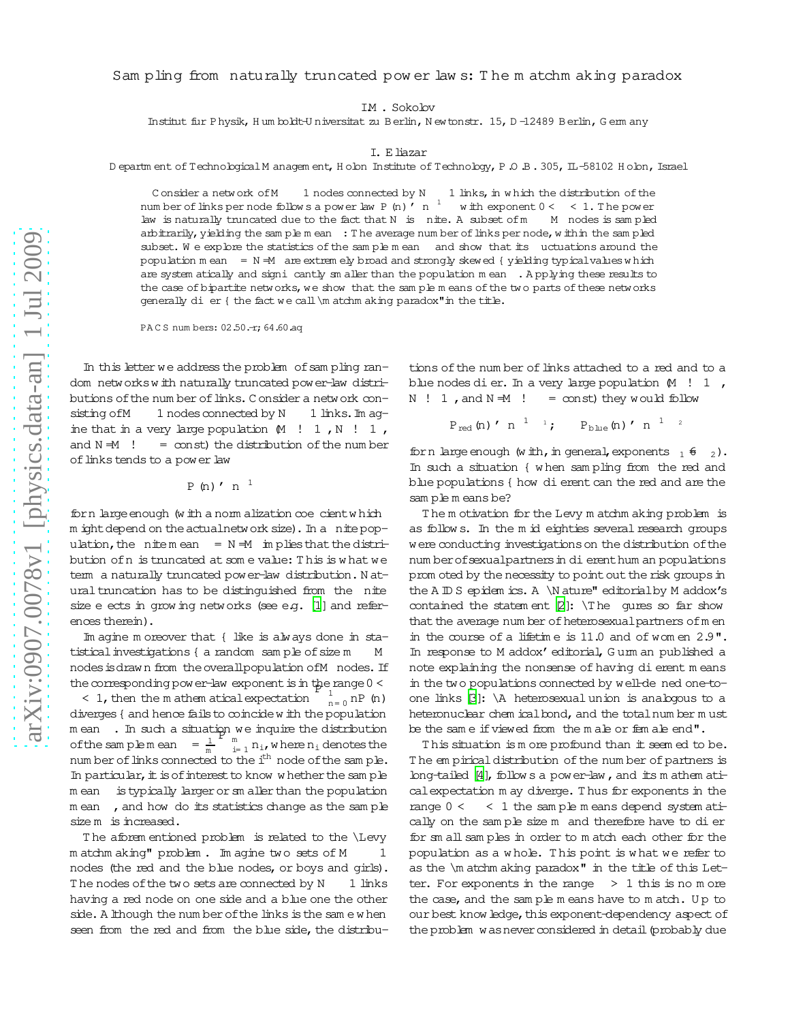## Sam pling from naturally truncated pow er law s: T he m atchm aking paradox

IM . Sokolov

Institut fur Physik, H um boldt-U niversitat zu B erlin, N ewtonstr. 15, D-12489 B erlin, G erm any

## I. Eliazar

D epartm ent of Technological M anagem ent, H olon Institute of Technology, P.O.B. 305, IL-58102 H olon, Israel

C onsider a network of  $M_1$  1 nodes connected by  $N_1$  1 links, in which the distribution of the num ber of links per node follows a power law P (n)  $\binom{1}{n}$  with exponent  $0 < 1$ . The power law is naturally truncated due to the fact that N is  nite. A subset ofm M nodes is sam pled arbitrarily, yielding the sam ple m ean : The average num ber of links per node, within the sam pled subset. We explore the statistics of the samplemean and show that its uctuations around the population  $m$  ean = N =M are extrem ely broad and strongly skewed { yielding typicalvalues which are system atically and signicantly sm aller than the population mean . A pplying these results to the case of bipartite networks, we show that the sample means of the two parts of these networks generally di er { the fact we call \m atchm aking paradox" in the title.

PACS num bers: 02.50.-r; 64.60.aq

In this letter we address the problem of sampling random networksw ith naturally truncated power-law distributions of the num ber of links. C onsider a network consisting of M 1 nodes connected by N 1 links. Im agine that in a very large population  $M$  ! 1, N ! 1, and  $N = M$   $!$  = const) the distribution of the num ber of links tends to a power law

$$
P(n) \cdot n^{-1}
$$

forn large enough (w ith a norm alization coecient w hich m ight depend on the actualnetwork size). In a nite population, the nitemean =  $N = M$  im plies that the distribution ofn is truncated at som e value: T his is w hat we term a naturally truncated power-law distribution. N atural truncation has to be distinguished from the nite size e ects in grow ing networks (see e.g.  $[1]$  and references therein).

Im agine m oreover that { like is always done in statistical investigations { a random sam ple of size m M nodes is draw n from the overall population of M nodes. If the corresponding power-law exponent is in the range  $0 <$ 

< 1, then the m athem atical expectation  $n=0$  nP  $(n)$ diverges { and hence fails to coincide w ith the population m ean . In such a situation we inquire the distribution of the samplemean =  $\frac{1}{m}$ m  $P_{\rm m}^{\rm H}$  we inquire the distribution<br> $\sum_{\rm i=1}^{\rm m}$  n<sub>i</sub>, where n<sub>i</sub> denotes the num ber of links connected to the i<sup>th</sup> node of the sample. In particular, it is of interest to know w hether the sample m ean is typically larger or sm aller than the population m ean , and how do its statistics change as the sample size m is increased.

T he aforem entioned problem is related to the \Levy m atchm aking" problem. Im agine two sets of M 1 nodes (the red and the blue nodes, or boys and girls). The nodes of the two sets are connected by  $N = 1$  links having a red node on one side and a blue one the other side. A lthough the num ber of the links is the sam e w hen seen from the red and from the blue side, the distribu-

tions of the num ber of links attached to a red and to a blue nodes dier. In a very large population  $M$  ! 1,  $N$  ! 1, and  $N = M$  ! = const) they would follow

$$
P_{red} (n) \cdot n^{-1} \quad \text{if} \quad P_{blue} (n) \cdot n^{-1} \quad \text{?}
$$

forn largeenough (w ith, in general, exponents  $_1$   $_2$ ). In such a situation { w hen sam pling from the red and blue populations { how dierent can the red and are the sam ple m eans be?

T he m otivation for the Levy m atchm aking problem is as follows. In the m id eighties several research groups were conducting investigations on the distribution of the num berofsexualpartners in dierenthum an populations prom oted by the necessity to point out the risk groups in the A ID S epidem ics. A \N ature" editorialby M addox's contained the statem ent  $[2]$ :  $\mathcal{T}$  he qures so far show that the average num ber of heterosexual partners of m en in the course of a lifetim e is 11.0 and of wom en 2.9". In response to M addox' editorial, G urm an published a note explaining the nonsense of having dierent means in the two populations connected by well-de ned one-toone links [\[3](#page-3-2)]: \A heterosexual union is analogous to a heteronuclear chem ical bond, and the total num ber m ust be the sam e ifviewed from the m ale or fem ale end".

T his situation is m ore profound than it seem ed to be. The em pirical distribution of the num ber of partners is long-tailed  $[4]$ , follow s a power-law, and its m athem aticalexpectation m ay diverge. T hus for exponents in the range  $0 <$   $<$  1 the sam ple m eans depend system atically on the sam ple size m and therefore have to dier for sm allsam ples in order to m atch each other for the population as a w hole. T his point is w hat we refer to as the \m atchm aking paradox" in the title of this Letter. For exponents in the range  $> 1$  this is no m ore the case, and the sample m eans have to m atch. Up to our best know ledge, this exponent-dependency aspect of the problem was never considered in detail (probably due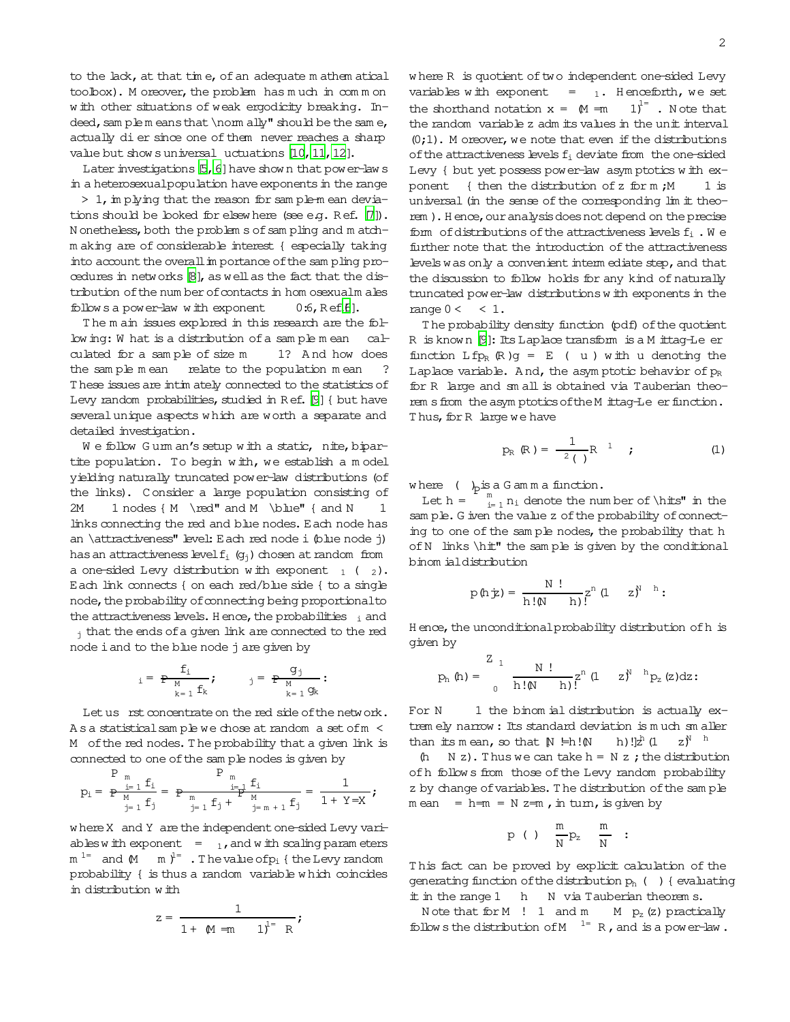to the lack, at that time, of an adequate m athem atical toolbox). M oreover, the problem has much in common w ith other situations of weak ergodicity breaking. In $deed$ , sam plem eans that \norm ally" should be the sam e, actually dier since one of them never reaches a sharp value but show suniversal uctuations [\[10](#page-3-4), 11, 12].

Later investigations  $[5, 6]$  $[5, 6]$  have show n that power-law s in a heterosexualpopulation have exponents in the range

 $> 1$ , im plying that the reason for sam ple-m ean devia-tions should be looked for elsew here (see e.g. Ref. [\[7\]](#page-3-9)). N onetheless, both the problem s of sam pling and m atchm aking are of considerable interest { especially taking into account the overall in portance of the sam pling pro-cedures in networks [\[8\]](#page-3-10), as well as the fact that the distribution of the num ber of contacts in hom osexualm ales follow s a power-law w ith exponent  $0:6$ , Ref.  $[6]$ .

The m ain issues explored in this research are the follow ing: W hat is a distribution of a sample mean calculated for a sam ple of size m 1? A nd how does the sample mean relate to the population mean ? These issues are intim ately connected to the statistics of Levy random probabilities, studied in R ef. [\[9](#page-3-11)] { but have severalunique aspects w hich are worth a separate and detailed investigation.

We follow Gum an's setup with a static, nite, bipartite population. To begin w ith, we establish a m odel yielding naturally truncated power-law distributions (of the links). C onsider a large population consisting of  $2M$  1 nodes  ${M \red{M \blue{bhe}}$  { and N  $1$ links connecting the red and blue nodes. Each node has an \attractiveness" level: Each red node i (blue node j) has an attractiveness level  $f_i$  ( $g_i$ ) chosen at random from a one-sided Levy distribution w ith exponent  $_1$  (  $_2$ ). Each link connects { on each red/blue side { to a single node, the probability of connecting being proportional to the attractiveness levels. H ence, the probabilities  $\frac{1}{1}$  and

 $_1$  that the ends of a given link are connected to the red node iand to the blue node j are given by

$$
_{i}=\begin{array}{cc}\mathbf{f}_{i} & \\ \mathbf{P}_{\mathbf{M}} & \\ \mathbf{k}=\mathbf{1} & \mathbf{f}_{k}\end{array}; \qquad \begin{array}{c} g_{j} \\ j=\begin{array}{c} \mathbf{P}_{\mathbf{M}} \\ \mathbf{k}=\mathbf{1} & \mathbf{g}_{k}\end{array}:\qquad \qquad
$$

Let us rst concentrate on the red side of the network. A s a statistical sample we chose at random a set of m < M of the red nodes. The probability that a given link is connected to one of the sam ple nodes is given by

$$
p_i = \text{ } \frac{P_{m}}{P\text{ } \frac{i-1}{M} \cdot f_i} = \text{ } P_{m} \frac{P_{m}}{\frac{i-1}{J} \cdot f_i} = \frac{1}{P_{m}} \frac{f_i}{P_{m+1} \cdot f_j} = \frac{1}{1+Y=X} \text{;}
$$

where X and Y are the independent one-sided Levy variables w ith exponent  $= 1$ , and w ith scaling param eters  $m^{1=}$  and  $M$  m  $y^{1=}$  . The value of  $p_i$  { the Levy random probability { is thus a random variable w hich coincides in distribution w ith

$$
z = \frac{1}{1 + (M - m)}; \quad \frac{1}{1}^1 = R
$$

where R is quotient of two independent one-sided Levy variables with exponent =  $_1$ . H enceforth, we set the shorthand notation  $x = M = m$   $1)^{1}$ . Note that the random variable z adm its values in the unit interval  $(0,1)$ . M oreover, we note that even if the distributions of the attractiveness levels  $f_i$  deviate from the one-sided Levy { but yet possess power-law asym ptotics w ith exponent { then the distribution of z for  $m$  ; M  $1$  is universal (in the sense of the corresponding lim it theorem ). Hence, our analysis does not depend on the precise form of distributions of the attractiveness levels  $f_i$ . We further note that the introduction of the attractiveness levels was only a convenient interm ediate step, and that the discussion to follow holds for any kind ofnaturally truncated power-law distributions with exponents in the range  $0 <$  < 1.

T he probability density function (pdf) ofthe quotient R is known [\[9](#page-3-11)]: Its Laplace transform is a M ittag-Le er function  $Lfp_R$  (R)g = E (u) with u denoting the Laplace variable. And, the asymptotic behavior of  $p_R$ for R large and sm all is obtained via Tauberian theorem s from the asym ptotics of the M ittag-Le er function. Thus, for R large we have

<span id="page-1-0"></span>
$$
p_{R} (R) = \frac{1}{2} \left( \begin{array}{cc} 1 & 1 \end{array} \right)
$$
 (1)

where  $\left(\bigcup_{p \text{ is a } G \text{ am } m} A$  function.

Let  $h =$  $\sum_{i=1}^{m} n_i$  denote the number of  $\hbar$ ts" in the sam ple. G iven the value z of the probability of connecting to one of the sam ple nodes, the probability that h of N links \hit" the sample is given by the conditional binom ialdistribution

$$
p\left(h\dot\equiv\right)=\,\frac{N\,\,\mathop{!}^{\mathop{!}^{\mathop{}}}}{h\,\mathop{!}\,(\mathop{!}^{\mathop{!}^{\mathop{}}}}\,h\,\mathop{!}^{\mathop{!}^{\mathop{!}^{\mathop{}}}}\,h\mathop{!}^{\mathop{!}^{\mathop{!}^{\mathop{}}}}\,B\mathop{!}^{\mathop{!}^{\mathop{!}^{\mathop{}}}}\,h\mathop{!}^{\mathop{!}^{\mathop{!}^{\mathop{}}}}\,h\mathop{!}^{\mathop{!}^{\mathop{!}^{\mathop{}}}}.
$$

H ence, the unconditional probability distribution of h is given by

$$
p_h\left(h\right)=\left.\begin{matrix}Z_{-1}&\\&N\end{matrix}\right.\frac{N\left.\begin{matrix}I\\&h\end{matrix}\right)}{h\left.\begin{matrix}N&\\&h\end{matrix}\right|^{2}}\left(1\qquad z\right)^{N-h}p_{z}\left(z\right)\mathrm{d}z\mathbf{:}
$$

For  $N$  1 the binom ial distribution is actually extrem ely narrow : Its standard deviation is m uch sm aller than its mean, so that  $N \models h!N$ h)  $!]_2^h(1)$  $Z^{\aleph}$  h

(h  $N z$ ). Thus we can take  $h = N z$ ; the distribution of h follow s from those of the Levy random probability z by change of variables. The distribution of the sample  $m$  ean = h= $m$  = N z= $m$ , in turn, is given by

$$
p \hspace{.2cm} ( \hspace{.2cm} ) \hspace{.2cm} \frac{m}{N} p_z \hspace{.2cm} \frac{m}{N} \hspace{.2cm} :
$$

T his fact can be proved by explicit calculation of the generating function of the distribution  $p_h$  ( ) { evaluating it in the range 1 h N via Tauberian theorem s.

N ote that  $for M$  ! 1 and  $m$   $M$   $p_z$  (z) practically follow s the distribution of  $M$ <sup>1=</sup> R, and is a power-law.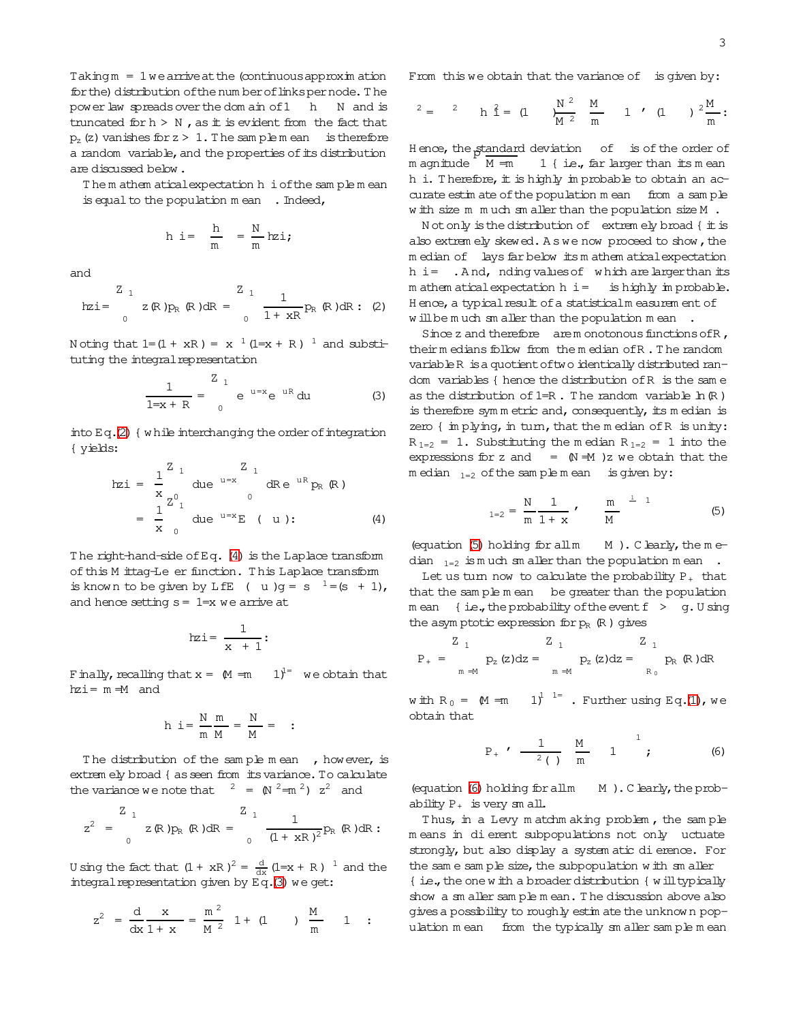$Taking m = 1 we arrive at the (continuous approximation)$ for the) distribution of the num ber of linkspernode. The power law spreads over the dom ain of 1 h N and is truncated for  $h > N$ , as it is evident from the fact that  $p_z(z)$  vanishes for  $z > 1$ . The sample mean is therefore a random variable, and the properties of its distribution are discussed below .

T he m athem aticalexpectation h iofthe sam ple m ean is equal to the population  $m$  ean  $\blacksquare$ . Indeed,

$$
h \ \text{i} = \ \frac{h}{m} \ = \frac{N}{m} h z i \text{;}
$$

and

<span id="page-2-0"></span>
$$
\text{hzi} = \begin{array}{cc} Z_{1} & Z_{1} \\ Z_{1} & R \end{array} \text{p}_{R} \text{ (R)} \text{dR} = \begin{array}{cc} Z_{1} & 1 \\ 0 & 1 + xR \end{array} \text{p}_{R} \text{ (R)} \text{dR} : \text{ (2)}
$$

Noting that  $1 = (1 + xR) = x^{-1}(1=x + R)^{-1}$  and substituting the integral representation

<span id="page-2-2"></span>
$$
\frac{1}{1=x+R} = \frac{z_1}{0} e^{u=x} e^{uR} du
$$
 (3)

into  $E q.(2)$  $E q.(2)$  { w hile interchanging the order of integration { yields:

<span id="page-2-1"></span>
$$
hzi = \frac{1}{x} \int_{Z_{0}^{0}1}^{Z_{1}} du e^{-u=x} dRe^{uR} p_{R}(R)
$$
  
=  $\frac{1}{x} \int_{0}^{Z_{0}1} du e^{-u=x} E(u)$  (4)

The right-hand-side of Eq. [\(4\)](#page-2-1) is the Laplace transform of this M ittag-Le er function. This Laplace transform is known to be given by LfE ( u )g = s  $1 = (s + 1)$ , and hence setting  $s = 1=x$  we arrive at

$$
\mathtt{hzi} = \frac{1}{x+1}:
$$

Finally, recalling that  $x = M = m$   $1<sup>1</sup>$  we obtain that hzi= m =M and

$$
h i = \frac{N}{m} \frac{m}{M} = \frac{N}{M} =
$$

= :

The distribution of the sample mean, however, is extrem ely broad { asseen from itsvariance.To calculate the variance we note that  $2 = \left(\frac{N^2}{m^2}\right) z^2$  and

$$
z^2 = \int_0^{Z_1} z(R)p_R(R) dR = \int_0^{Z_1} \frac{1}{(1+xR)^2} p_R(R) dR
$$
:

U sing the fact that  $(1 + xR)^2 = \frac{d}{dx} (1=x + R)^{-1}$  and the integral representation given by  $Eq.(3)$  $Eq.(3)$  we get:

$$
z^{2} = \frac{d}{dx} \frac{x}{1+x} = \frac{m^{2}}{M^{2}} 1 + (1)
$$
  $\frac{M}{m}$  1 :

From this we obtain that the variance of is given by:

$$
^{2} = \quad \, ^{2} \qquad \, h \, \, \hat{1} = \, \, (1 \qquad \, \frac{N}{M} \, \frac{^{2} \quad \, M}{\, m} \qquad \, 1 \quad \, ' \quad \, (1 \qquad \, ) \, \, \, ^{2} \frac{M}{m}:
$$

Hence, the standard deviation of is of the order of  $m$  agnitude  $M = m$ 1  $\{$  i.e., far larger than its m ean h i. Therefore, it is highly im probable to obtain an accurate estim ate of the population m ean from a sample w ith size m m uch sm aller than the population size M .

N otonly isthe distribution of extrem ely broad { itis also extrem ely skewed. A s we now proceed to show, the m edian of lays far below its m athem atical expectation  $h$  i= . And, nding values of which are larger than its  $m$  athem atical expectation  $h$  i = is highly im probable. H ence, a typical result of a statisticalm easurem ent of w ill be much sm aller than the population mean.

Since z and therefore arem onotonous functions of R, theirm edians follow from the m edian of R. The random variableR isa quotientoftwo identically distributed random variables { hence the distribution ofR is the sam e as the distribution of  $1=R$ . The random variable  $\ln(R)$ is therefore symmetric and, consequently, its median is zero  $\{$  im plying, in turn, that the m edian of R is unity:  $R_{1=2}$  = 1. Substituting the median  $R_{1=2}$  = 1 into the expressions for z and  $=$   $(N + M)z$  we obtain that the  $m$  edian  $_{1=2}$  of the sample mean is given by:

<span id="page-2-3"></span>
$$
_{1=2} = \frac{N}{m} \frac{1}{1+x} , \qquad \frac{m}{M} \qquad ^{\frac{1}{2}-1}
$$
 (5)

(equation  $(5)$  holding for all m  $M$ ). C learly, the m edian  $_{1=2}$  is m uch sm aller than the population m ean.

Let us turn now to calculate the probability  $P_+$  that that the sam ple m ean be greater than the population m ean { i.e., the probability of the event  $f > g$ . U sing the asymptotic expression for  $p_R$  (R) gives

$$
P_{+} = \frac{Z_{1}}{m \Rightarrow M} p_{z}(z)dz = \frac{Z_{1}}{m \Rightarrow M} p_{z}(z)dz = \frac{Z_{1}}{R_{0}} p_{R}(R)dR
$$

with  $R_0 = M = m \quad 1^{1^{1^{1^{1^{1^{1}}}}}}$ . Further using Eq[.\(1\)](#page-1-0), we obtain that

<span id="page-2-4"></span>
$$
P_{+}
$$
  $\bullet$   $\frac{1}{2}$   $\frac{M}{m}$   $\frac{1}{m}$   $\frac{1}{m}$  (6)

(equation  $(6)$  holding for all  $M$ ). C learly, the probability  $P_+$  is very sm all.

Thus, in a Levy m atchm aking problem, the sample m eans in dierent subpopulations not only 
uctuate strongly, but also display a system atic dierence. For the sam e sam ple size, the subpopulation w ith sm aller { i.e., the one w ith a broader distribution { will typically show a sm aller sam ple m ean. T he discussion above also givesa possibility to roughly estim ate the unknow n population mean from the typically smaller sample mean